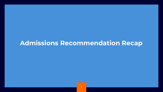# **Admissions Recommendation Recap**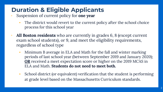# **Duration & Eligible Applicants**

- Suspension of current policy for **one year**
	- The district would revert to the current policy after the school choice process for this school year
- **All Boston residents** who are currently in grades 6, 8 (except current exam school students), or 9, and meet the eligibility requirements, regardless of school type
	- Minimum B average in ELA and Math for the fall and winter marking periods of last school year (between September 2019 and January 2020); **OR** received a meet expectation score or higher on the 2019 MCAS in ELA and Math. **Students do not need to meet both.**
	- School district (or equivalent) verification that the student is performing at grade level based on the Massachusetts Curriculum standards.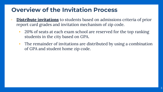# **Overview of the Invitation Process**

- **Distribute invitations** to students based on admissions criteria of prior report card grades and invitation mechanism of zip code.
	- 20% of seats at each exam school are reserved for the top ranking students in the city based on GPA.
	- The remainder of invitations are distributed by using a combination of GPA and student home zip code.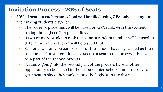#### **Invitation Process - 20% of Seats**

- **20% of seats in each exam school will be filled using GPA only**, placing the top ranking students citywide.
	- The order of placement will be based on GPA rank, with the student having the highest GPA placed first.
	- If two or more students rank the same, a random number will be used to determine which student will be placed first.
	- Students will only be considered for the school that they ranked as their top choice. If a student does not secure a seat in this process, they will be a part of the second process.
	- Students going into the second part of the process have another opportunity to be placed in their first-choice school, and are likely to get a seat in since they rank among the highest in the district.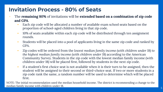### **Invitation Process - 80% of Seats**

- The **remaining 80%** of invitations will be **extended based on a combination of zip code and GPA**.
	- Each zip code will be allocated a number of available exam school seats based on the proportion of school-aged children living in that zip code.
	- 10% of seats available within each zip code will be distributed through ten assignment rounds.
	- Students will be placed into a pool of applicants living in the same zip code and ranked by GPA.
	- Zip codes will be ordered from the *lowest median family income (with children under 18) to the highest median family income (with children under 18)* according to the American Community Survey. Students in the zip code with the lowest median family income (with children under 18) will be placed first, followed by students in the next zip code.
	- If a student's first choice seat is not available when it is their turn to be assigned, then the student will be assigned to their second or third-choice seat. If two or more students in a zip code rank the same, a random number will be used to determine which will be placed first.

NOTE: The initial recommendation used the median household income. The district is recommending a change to the median family income with children under 18.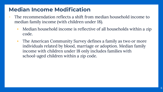## **Median Income Modification**

- The recommendation reflects a shift from median household income to median family income (with children under 18).
	- Median household income is reflective of all households within a zip code.
	- The American Community Survey defines a family as two or more individuals related by blood, marriage or adoption. Median family income with children under 18 only includes families with school-aged children within a zip code.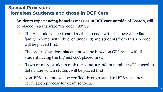#### **Special Provision: Homeless Students and those in DCF Care**

- **Students experiencing homelessness or in DCF care outside of Boston**, will be placed in a separate "zip code", 99999.
	- This zip code will be treated as the zip code with the lowest median family income (with children under 18) and students from this zip code will be placed first.
	- The order of student placement will be based on GPA rank, with the student having the highest GPA placed first.
	- If two or more students rank the same, a random number will be used to determine which student will be placed first.
	- Non-BPS students will be verified through standard BPS residency verification process for exam schools.